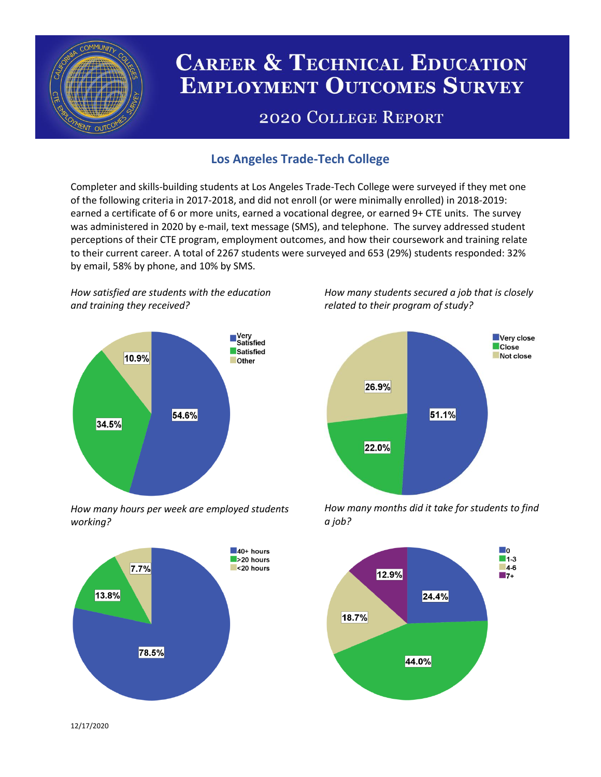

# **CAREER & TECHNICAL EDUCATION EMPLOYMENT OUTCOMES SURVEY**

## **2020 COLLEGE REPORT**

## **Los Angeles Trade-Tech College**

Completer and skills-building students at Los Angeles Trade-Tech College were surveyed if they met one of the following criteria in 2017-2018, and did not enroll (or were minimally enrolled) in 2018-2019: earned a certificate of 6 or more units, earned a vocational degree, or earned 9+ CTE units. The survey was administered in 2020 by e-mail, text message (SMS), and telephone. The survey addressed student perceptions of their CTE program, employment outcomes, and how their coursework and training relate to their current career. A total of 2267 students were surveyed and 653 (29%) students responded: 32% by email, 58% by phone, and 10% by SMS.

*How satisfied are students with the education and training they received?*



*How many hours per week are employed students working?*



*How many students secured a job that is closely related to their program of study?*



*How many months did it take for students to find a job?*



12/17/2020